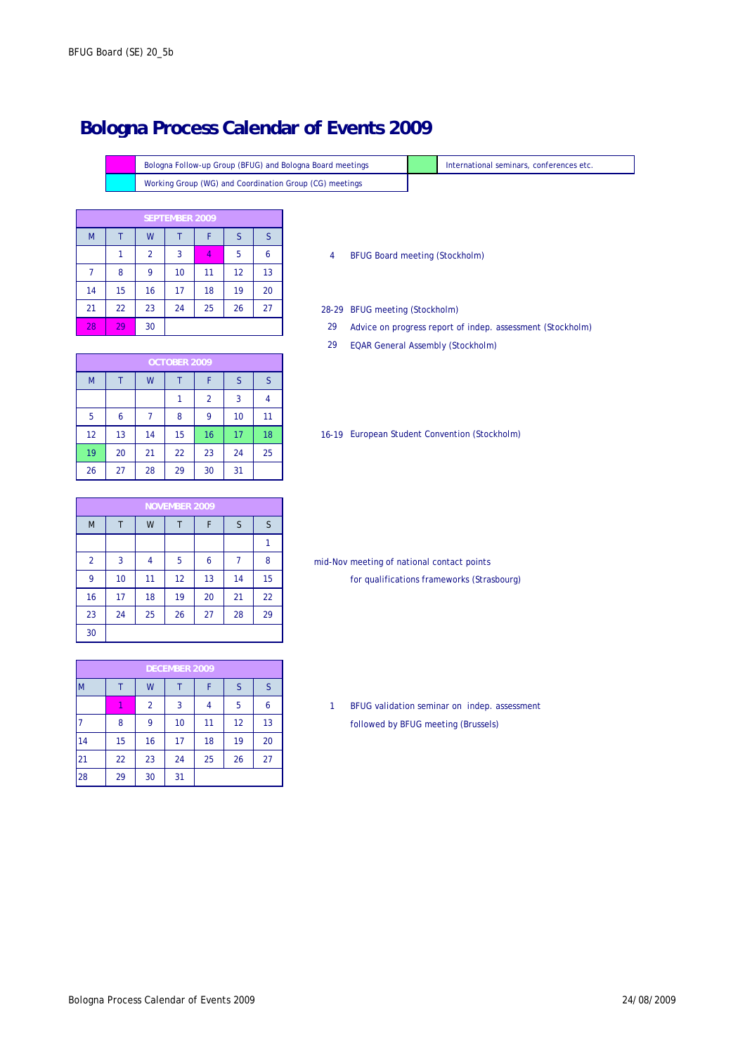Bologna Follow-up Group (BFUG) and Bologna Board meetings Working Group (WG) and Coordination Group (CG) meetings

|    |    | <b>SEPTEMBER 2009</b> |    |    |    |    |  |  |
|----|----|-----------------------|----|----|----|----|--|--|
| M  |    | W                     |    | F  | S  | S  |  |  |
|    | 1  | 2                     | 3  | 4  | 5  | 6  |  |  |
|    | 8  | 9                     | 10 | 11 | 12 | 13 |  |  |
| 14 | 15 | 16                    | 17 | 18 | 19 | 20 |  |  |
| 21 | 22 | 23                    | 24 | 25 | 26 | 27 |  |  |
| 28 | 29 | 30                    |    |    |    |    |  |  |

### 28-29 BFUG meeting (Stockholm)

Advice on progress report of indep. assessment (Stockholm)

International seminars, conferences etc.

29 EQAR General Assembly (Stockholm)

|    | OCTOBER 2009 |    |    |                |    |    |  |
|----|--------------|----|----|----------------|----|----|--|
| M  |              | W  |    | F              | S  | S  |  |
|    |              |    |    | $\overline{2}$ | 3  |    |  |
| 5  | 6            |    | 8  | 9              | 10 | 11 |  |
| 12 | 13           | 14 | 15 | 16             | 17 | 18 |  |
| 19 | 20           | 21 | 22 | 23             | 24 | 25 |  |
| 26 | 27           | 28 | 29 | 30             | 31 |    |  |

### 16-19 European Student Convention (Stockholm)

|                |    |    | <b>NOVEMBER 2009</b> |    |    |    |
|----------------|----|----|----------------------|----|----|----|
| M              |    | W  | Τ                    | F  | S  | S  |
|                |    |    |                      |    |    |    |
| $\overline{2}$ | 3  | 4  | 5                    | 6  |    | 8  |
| 9              | 10 | 11 | 12                   | 13 | 14 | 15 |
| 16             | 17 | 18 | 19                   | 20 | 21 | 22 |
| 23             | 24 | 25 | 26                   | 27 | 28 | 29 |
| 30             |    |    |                      |    |    |    |

mid-Nov meeting of national contact points for qualifications frameworks (Strasbourg)

|    | <b>DECEMBER 2009</b> |    |    |    |    |    |  |  |
|----|----------------------|----|----|----|----|----|--|--|
| M  |                      | W  |    |    | S  | S  |  |  |
|    |                      | 2  | 3  | 4  | 5  | 6  |  |  |
|    | 8                    | 9  | 10 | 11 | 12 | 13 |  |  |
| 14 | 15                   | 16 | 17 | 18 | 19 | 20 |  |  |
| 21 | 22                   | 23 | 24 | 25 | 26 | 27 |  |  |
| 28 | 29                   | 30 | 31 |    |    |    |  |  |

BFUG validation seminar on indep. assessment followed by BFUG meeting (Brussels)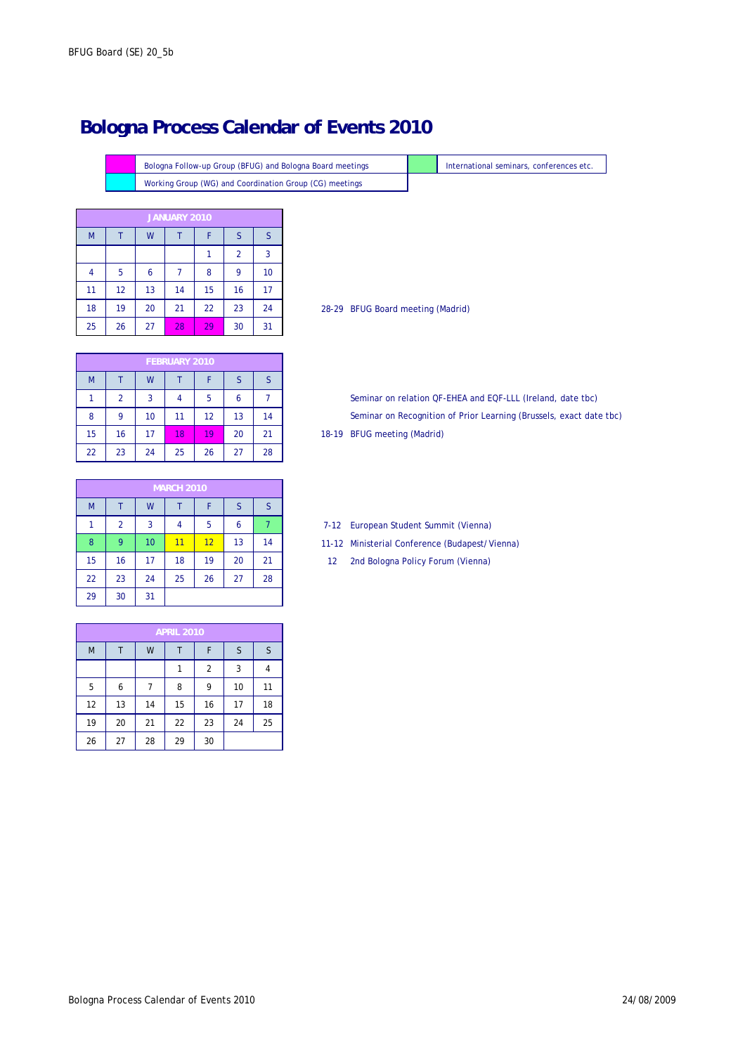Bologna Follow-up Group (BFUG) and Bologna Board meetings **International seminars**, conferences etc. Working Group (WG) and Coordination Group (CG) meetings

|    | JANUARY 2010 |    |    |    |    |    |  |  |
|----|--------------|----|----|----|----|----|--|--|
| M  |              | W  |    | F  | S  | S  |  |  |
|    |              |    |    | 1  | 2  | 3  |  |  |
| 4  | 5            | 6  |    | 8  | 9  | 10 |  |  |
| 11 | 12           | 13 | 14 | 15 | 16 | 17 |  |  |
| 18 | 19           | 20 | 21 | 22 | 23 | 24 |  |  |
| 25 | 26           | 27 | 28 | 29 | 30 | 31 |  |  |

| 18 | 19 | ZU | 21            | 22 | 23 | 24 |
|----|----|----|---------------|----|----|----|
| 25 | 26 | 27 | 28            | 29 | 30 | 31 |
|    |    |    |               |    |    |    |
|    |    |    | FEBRUARY 2010 |    |    |    |
| M  |    | W  |               |    | S  | S  |
|    | 2  | 3  |               | 5  | 6  |    |
| 8  | 9  | 10 | 11            | 12 | 13 | 14 |

22 23 24 25 26 27 28

28-29 BFUG Board meeting (Madrid)

15 | 16 | 17 <mark>| 18 | 19 |</mark> 20 | 21 | 18-19 18-19 BFUG meeting (Madrid) Seminar on Recognition of Prior Learning (Brussels, exact date tbc) Seminar on relation QF-EHEA and EQF-LLL (Ireland, date tbc)

|    | <b>MARCH 2010</b> |    |    |    |    |    |  |  |
|----|-------------------|----|----|----|----|----|--|--|
| M  |                   | W  |    | F  | S  | S  |  |  |
| 1  | $\overline{2}$    | 3  | 4  | 5  | 6  |    |  |  |
| 8  | 9                 | 10 | 11 | 12 | 13 | 14 |  |  |
| 15 | 16                | 17 | 18 | 19 | 20 | 21 |  |  |
| 22 | 23                | 24 | 25 | 26 | 27 | 28 |  |  |
| 29 | 30                | 31 |    |    |    |    |  |  |

M | T | W | T | F | S | S  $1$  2 3 4 5 6 7 8 9 10 11 12 13 14 15 16 17 18 19 20 21 22 23 24 25 26 27 28 29 30

- 7-12 European Student Summit (Vienna)
- 11-12 Ministerial Conference (Budapest/Vienna)
- 12 2nd Bologna Policy Forum (Vienna)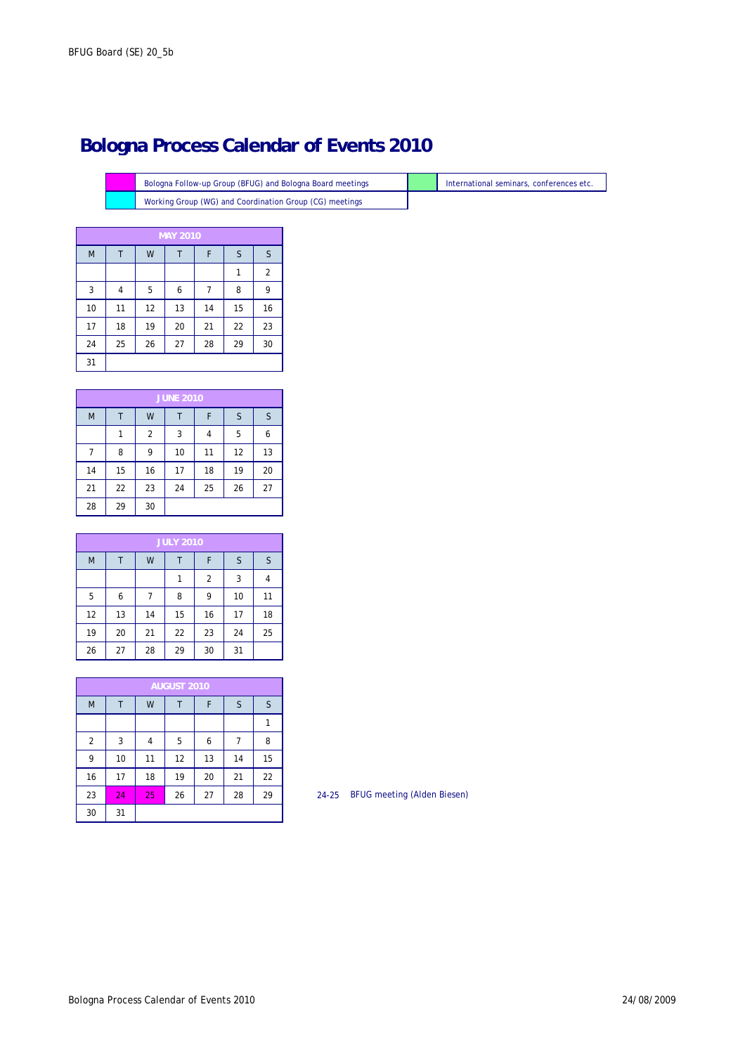Working Group (WG) and Coordination Group (CG) meetings Bologna Follow-up Group (BFUG) and Bologna Board meetings

|    |    |    | <b>MAY 2010</b> |    |    |                |
|----|----|----|-----------------|----|----|----------------|
| M  | Τ  | W  | Т               | F  | S  | S              |
|    |    |    |                 |    | 1  | $\overline{2}$ |
| 3  | 4  | 5  | 6               |    | 8  | 9              |
| 10 | 11 | 12 | 13              | 14 | 15 | 16             |
| 17 | 18 | 19 | 20              | 21 | 22 | 23             |
| 24 | 25 | 26 | 27              | 28 | 29 | 30             |
| 31 |    |    |                 |    |    |                |

|    |    |                | <b>JUNE 2010</b> |    |    |    |
|----|----|----------------|------------------|----|----|----|
| M  |    | W              |                  | F  | S  | S  |
|    |    | $\overline{2}$ | 3                | 4  | 5  | 6  |
| 7  | 8  | 9              | 10               | 11 | 12 | 13 |
| 14 | 15 | 16             | 17               | 18 | 19 | 20 |
| 21 | 22 | 23             | 24               | 25 | 26 | 27 |
| 28 | 29 | 30             |                  |    |    |    |

|    |    |    | <b>JULY 2010</b> |                |    |    |
|----|----|----|------------------|----------------|----|----|
| M  |    | W  |                  | F              | S  | S  |
|    |    |    | 1                | $\overline{2}$ | 3  | 4  |
| 5  | 6  |    | 8                | 9              | 10 | 11 |
| 12 | 13 | 14 | 15               | 16             | 17 | 18 |
| 19 | 20 | 21 | 22               | 23             | 24 | 25 |
| 26 | 27 | 28 | 29               | 30             | 31 |    |

|    | <b>AUGUST 2010</b> |    |    |    |    |    |  |  |
|----|--------------------|----|----|----|----|----|--|--|
| M  |                    | W  |    | F  | S  | S  |  |  |
|    |                    |    |    |    |    |    |  |  |
| 2  | 3                  | 4  | 5  | 6  | 7  | 8  |  |  |
| 9  | 10                 | 11 | 12 | 13 | 14 | 15 |  |  |
| 16 | 17                 | 18 | 19 | 20 | 21 | 22 |  |  |
| 23 | 24                 | 25 | 26 | 27 | 28 | 29 |  |  |
| 30 | 31                 |    |    |    |    |    |  |  |

24-25 BFUG meeting (Alden Biesen)

International seminars, conferences etc.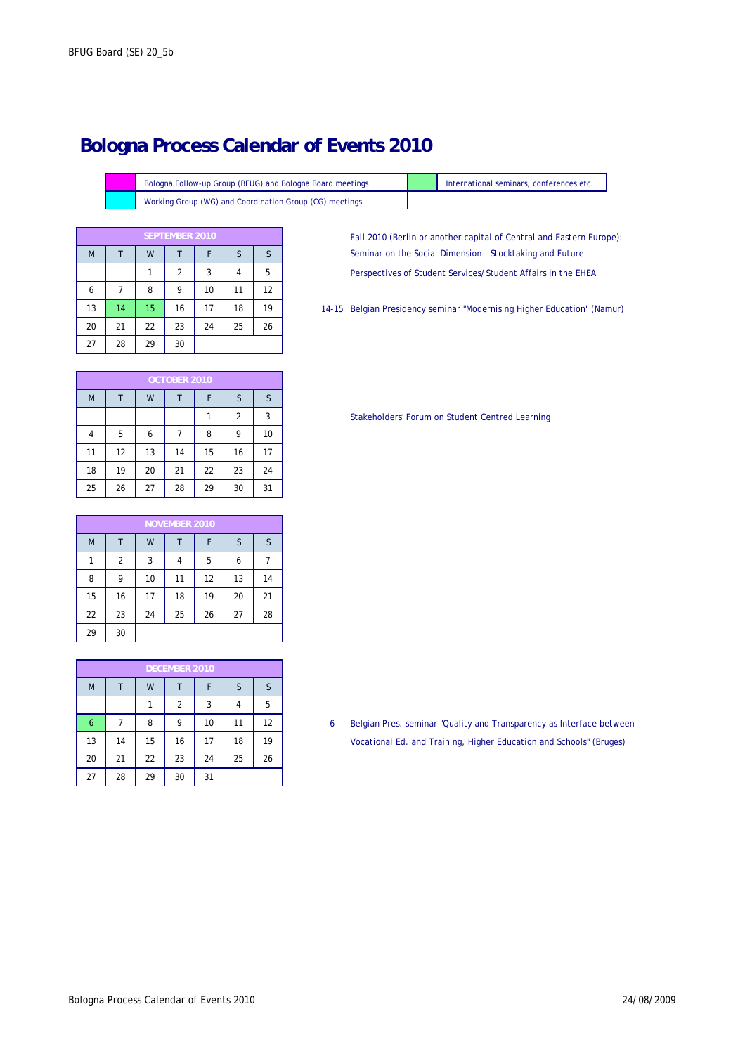Working Group (WG) and Coordination Group (CG) meetings Bologna Follow-up Group (BFUG) and Bologna Board meetings

| <b>SEPTEMBER 2010</b> |    |    |                |    |    |    |  |
|-----------------------|----|----|----------------|----|----|----|--|
| M                     |    | W  |                | F  | S  | S  |  |
|                       |    |    | $\overline{2}$ | 3  | 4  | 5  |  |
| 6                     |    | 8  | 9              | 10 | 11 | 12 |  |
| 13                    | 14 | 15 | 16             | 17 | 18 | 19 |  |
| 20                    | 21 | 22 | 23             | 24 | 25 | 26 |  |
| 27                    | 28 | 29 | 30             |    |    |    |  |

Perspectives of Student Services/Student Affairs in the EHEA Fall 2010 (Berlin or another capital of Central and Eastern Europe): Seminar on the Social Dimension - Stocktaking and Future

International seminars, conferences etc.

14-15 Belgian Presidency seminar "Modernising Higher Education" (Namur)

|    | OCTOBER 2010 |    |    |    |                |    |  |  |  |
|----|--------------|----|----|----|----------------|----|--|--|--|
| M  |              | W  |    | F  | S              | S  |  |  |  |
|    |              |    |    |    | $\overline{2}$ | 3  |  |  |  |
| 4  | 5            | 6  |    | 8  | 9              | 10 |  |  |  |
| 11 | 12           | 13 | 14 | 15 | 16             | 17 |  |  |  |
| 18 | 19           | 20 | 21 | 22 | 23             | 24 |  |  |  |
| 25 | 26           | 27 | 28 | 29 | 30             | 31 |  |  |  |

| <b>NOVEMBER 2010</b> |    |    |    |    |    |    |  |
|----------------------|----|----|----|----|----|----|--|
| M                    | Т  | W  |    | F  | S  | S  |  |
|                      | 2  | 3  | 4  | 5  | 6  |    |  |
| 8                    | 9  | 10 | 11 | 12 | 13 | 14 |  |
| 15                   | 16 | 17 | 18 | 19 | 20 | 21 |  |
| 22                   | 23 | 24 | 25 | 26 | 27 | 28 |  |
| 29                   | 30 |    |    |    |    |    |  |

| <b>DECEMBER 2010</b> |    |    |    |    |    |    |  |
|----------------------|----|----|----|----|----|----|--|
| M                    |    | W  |    | F  | S  | S  |  |
|                      |    |    | 2  | 3  |    | 5  |  |
| 6                    |    | 8  | 9  | 10 | 11 | 12 |  |
| 13                   | 14 | 15 | 16 | 17 | 18 | 19 |  |
| 20                   | 21 | 22 | 23 | 24 | 25 | 26 |  |
| 27                   | 28 | 29 | 30 | 31 |    |    |  |

Stakeholders' Forum on Student Centred Learning

6 Belgian Pres. seminar "Quality and Transparency as Interface between Vocational Ed. and Training, Higher Education and Schools" (Bruges)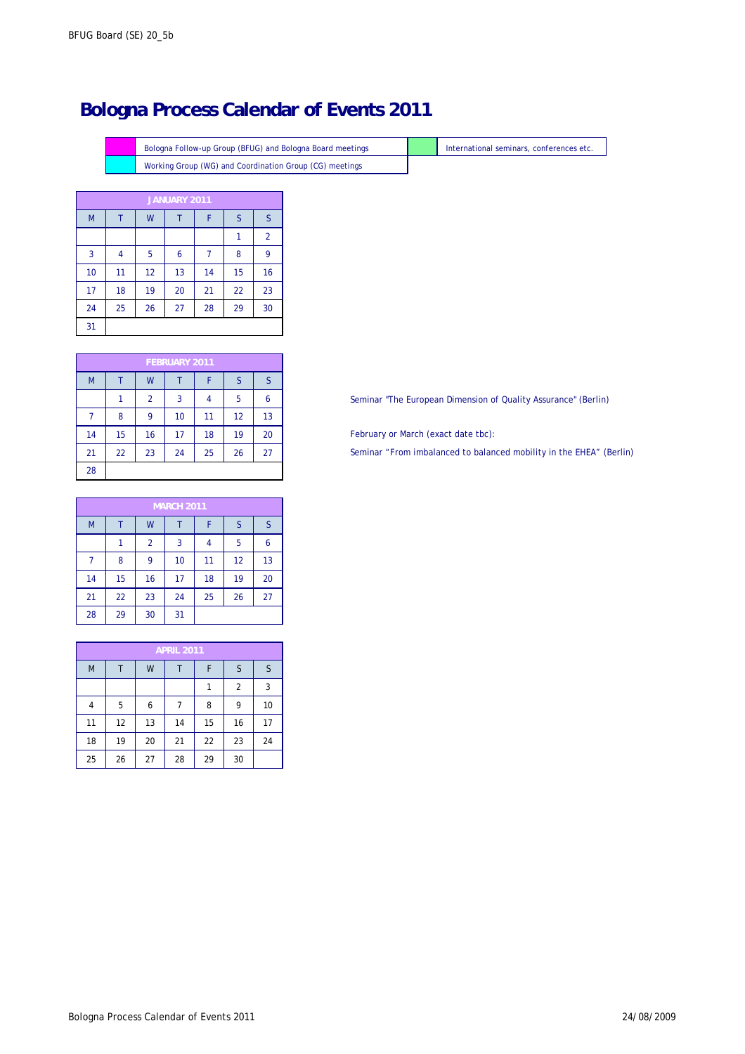Working Group (WG) and Coordination Group (CG) meetings Bologna Follow-up Group (BFUG) and Bologna Board meetings **International seminars**, conferences etc.

| JANUARY 2011 |    |    |    |    |    |                |  |
|--------------|----|----|----|----|----|----------------|--|
| M            |    | W  | Т  | F  | S  | S              |  |
|              |    |    |    |    |    | $\overline{2}$ |  |
| 3            | 4  | 5  | 6  |    | 8  | 9              |  |
| 10           | 11 | 12 | 13 | 14 | 15 | 16             |  |
| 17           | 18 | 19 | 20 | 21 | 22 | 23             |  |
| 24           | 25 | 26 | 27 | 28 | 29 | 30             |  |
| 31           |    |    |    |    |    |                |  |

|    | <b>FEBRUARY 2011</b> |                |    |    |    |    |  |  |
|----|----------------------|----------------|----|----|----|----|--|--|
| M  |                      | W              |    | F  | S  | S  |  |  |
|    |                      | $\overline{2}$ | 3  | 4  | 5  | 6  |  |  |
|    | 8                    | 9              | 10 | 11 | 12 | 13 |  |  |
| 14 | 15                   | 16             | 17 | 18 | 19 | 20 |  |  |
| 21 | 22                   | 23             | 24 | 25 | 26 | 27 |  |  |
| 28 |                      |                |    |    |    |    |  |  |

|    | <b>MARCH 2011</b> |                |    |    |    |    |  |  |
|----|-------------------|----------------|----|----|----|----|--|--|
| M  |                   | W              |    | F  | S  | S  |  |  |
|    |                   | $\overline{2}$ | 3  | 4  | 5  | 6  |  |  |
| 7  | 8                 | 9              | 10 | 11 | 12 | 13 |  |  |
| 14 | 15                | 16             | 17 | 18 | 19 | 20 |  |  |
| 21 | 22                | 23             | 24 | 25 | 26 | 27 |  |  |
| 28 | 29                | 30             | 31 |    |    |    |  |  |

| <b>APRIL 2011</b> |    |    |    |    |                |    |  |  |
|-------------------|----|----|----|----|----------------|----|--|--|
| M                 |    | W  |    | F  | S              | S  |  |  |
|                   |    |    |    |    | $\overline{2}$ | 3  |  |  |
| 4                 | 5  | 6  |    | 8  | 9              | 10 |  |  |
| 11                | 12 | 13 | 14 | 15 | 16             | 17 |  |  |
| 18                | 19 | 20 | 21 | 22 | 23             | 24 |  |  |
| 25                | 26 | 27 | 28 | 29 | 30             |    |  |  |

Seminar "The European Dimension of Quality Assurance" (Berlin)

February or March (exact date tbc):

Seminar "From imbalanced to balanced mobility in the EHEA" (Berlin)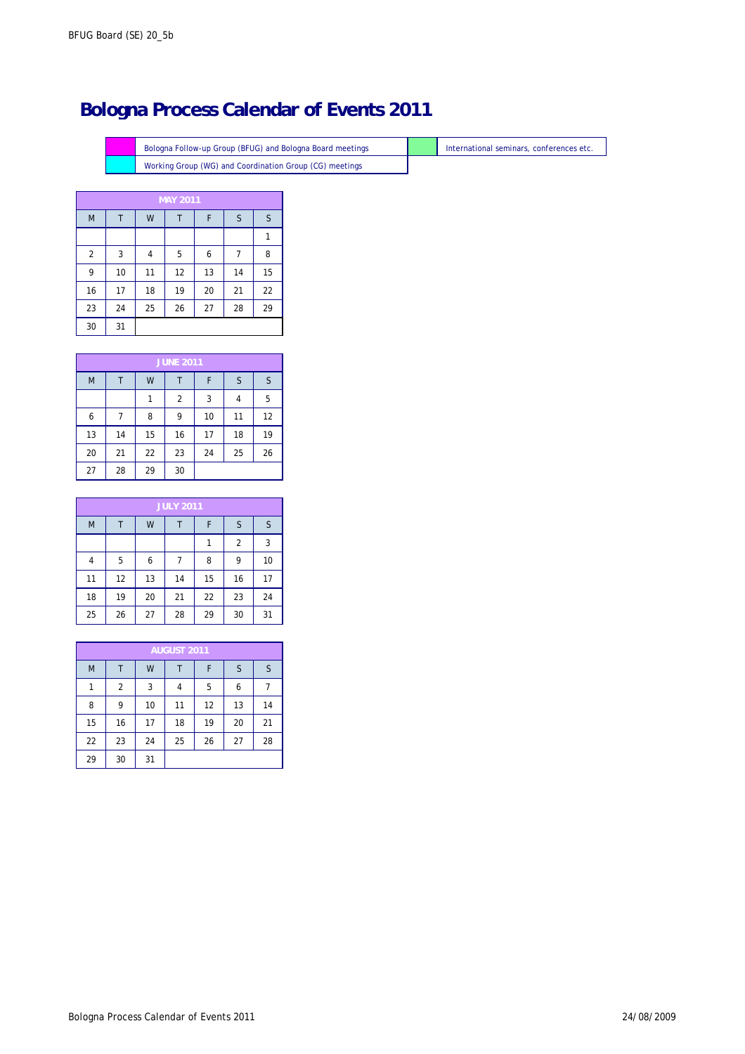Working Group (WG) and Coordination Group (CG) meetings Bologna Follow-up Group (BFUG) and Bologna Board meetings International seminars, conferences etc.

| <b>MAY 2011</b> |    |    |    |    |    |    |  |
|-----------------|----|----|----|----|----|----|--|
| M               | Т  | W  | Т  | F  | S  | S  |  |
|                 |    |    |    |    |    |    |  |
| $\overline{2}$  | 3  | 4  | 5  | 6  | 7  | 8  |  |
| 9               | 10 | 11 | 12 | 13 | 14 | 15 |  |
| 16              | 17 | 18 | 19 | 20 | 21 | 22 |  |
| 23              | 24 | 25 | 26 | 27 | 28 | 29 |  |
| 30              | 31 |    |    |    |    |    |  |

| <b>JUNE 2011</b> |    |    |    |    |    |    |  |
|------------------|----|----|----|----|----|----|--|
| M                |    | W  |    | F  | S  | S  |  |
|                  |    |    | 2  | 3  |    | 5  |  |
| 6                |    | 8  | 9  | 10 | 11 | 12 |  |
| 13               | 14 | 15 | 16 | 17 | 18 | 19 |  |
| 20               | 21 | 22 | 23 | 24 | 25 | 26 |  |
| 27               | 28 | 29 | 30 |    |    |    |  |

| <b>JULY 2011</b> |    |    |    |    |    |    |  |
|------------------|----|----|----|----|----|----|--|
| M                |    | W  |    | F  | S  | S  |  |
|                  |    |    |    | 1  | 2  | 3  |  |
| 4                | 5  | 6  |    | 8  | 9  | 10 |  |
| 11               | 12 | 13 | 14 | 15 | 16 | 17 |  |
| 18               | 19 | 20 | 21 | 22 | 23 | 24 |  |
| 25               | 26 | 27 | 28 | 29 | 30 | 31 |  |

| <b>AUGUST 2011</b> |                |    |    |    |    |    |  |
|--------------------|----------------|----|----|----|----|----|--|
| M                  |                | W  |    | F  | S  | S  |  |
|                    | $\overline{2}$ | 3  | 4  | 5  | 6  |    |  |
| 8                  | 9              | 10 | 11 | 12 | 13 | 14 |  |
| 15                 | 16             | 17 | 18 | 19 | 20 | 21 |  |
| 22                 | 23             | 24 | 25 | 26 | 27 | 28 |  |
| 29                 | 30             | 31 |    |    |    |    |  |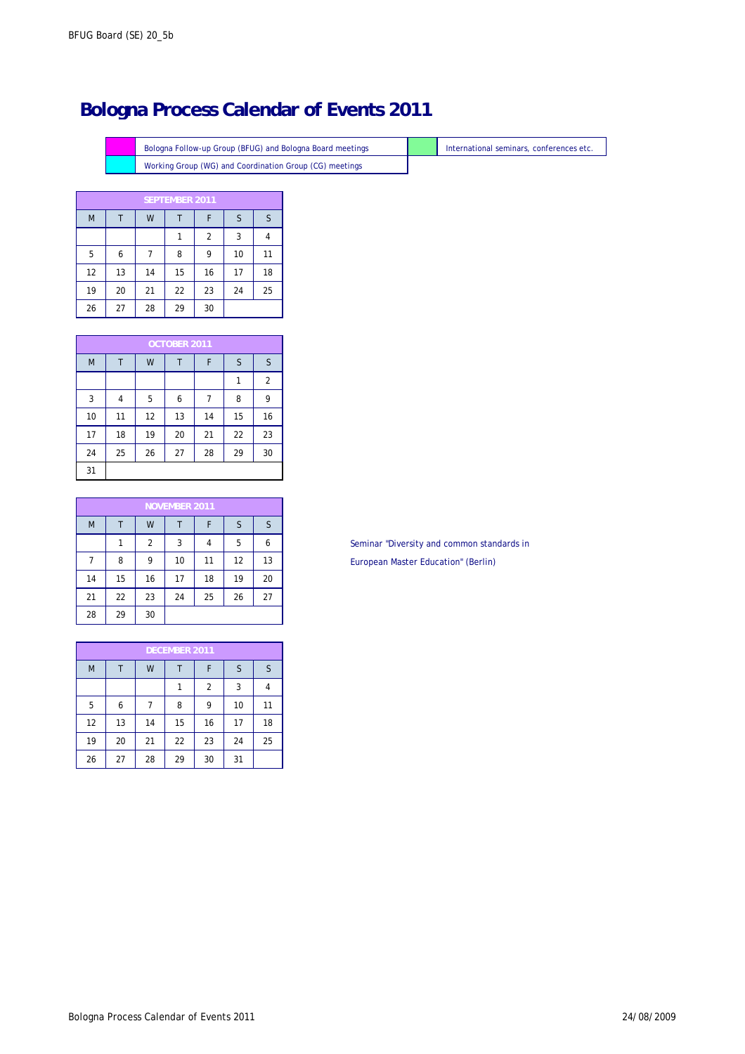Working Group (WG) and Coordination Group (CG) meetings Bologna Follow-up Group (BFUG) and Bologna Board meetings **International seminars**, conferences etc.

|    |    |    | <b>SEPTEMBER 2011</b> |                |    |    |
|----|----|----|-----------------------|----------------|----|----|
| M  |    | W  |                       | F              | S  | S  |
|    |    |    |                       | $\overline{2}$ | 3  |    |
| 5  | 6  |    | 8                     | 9              | 10 | 11 |
| 12 | 13 | 14 | 15                    | 16             | 17 | 18 |
| 19 | 20 | 21 | 22                    | 23             | 24 | 25 |
| 26 | 27 | 28 | 29                    | 30             |    |    |

|    |    |    | OCTOBER 2011 |    |    |                |
|----|----|----|--------------|----|----|----------------|
| M  | Т  | W  |              | F  | S  | S              |
|    |    |    |              |    |    | $\overline{2}$ |
| 3  | 4  | 5  | 6            | 7  | 8  | 9              |
| 10 | 11 | 12 | 13           | 14 | 15 | 16             |
| 17 | 18 | 19 | 20           | 21 | 22 | 23             |
| 24 | 25 | 26 | 27           | 28 | 29 | 30             |
| 31 |    |    |              |    |    |                |

|    |    |                | <b>NOVEMBER 2011</b> |    |    |    |
|----|----|----------------|----------------------|----|----|----|
| M  |    | W              |                      | F  | S  | S  |
|    | 1  | $\overline{2}$ | 3                    | 4  | 5  | 6  |
|    | 8  | 9              | 10                   | 11 | 12 | 13 |
| 14 | 15 | 16             | 17                   | 18 | 19 | 20 |
| 21 | 22 | 23             | 24                   | 25 | 26 | 27 |
| 28 | 29 | 30             |                      |    |    |    |

|    |    |    | <b>DECEMBER 2011</b> |    |    |    |
|----|----|----|----------------------|----|----|----|
| M  |    | W  |                      | F  | S  |    |
|    |    |    |                      | 2  | 3  |    |
| 5  | 6  |    | 8                    | 9  | 10 | 11 |
| 12 | 13 | 14 | 15                   | 16 | 17 | 18 |
| 19 | 20 | 21 | 22                   | 23 | 24 | 25 |
| 26 | 27 | 28 | 29                   | 30 | 31 |    |

European Master Education" (Berlin) Seminar "Diversity and common standards in